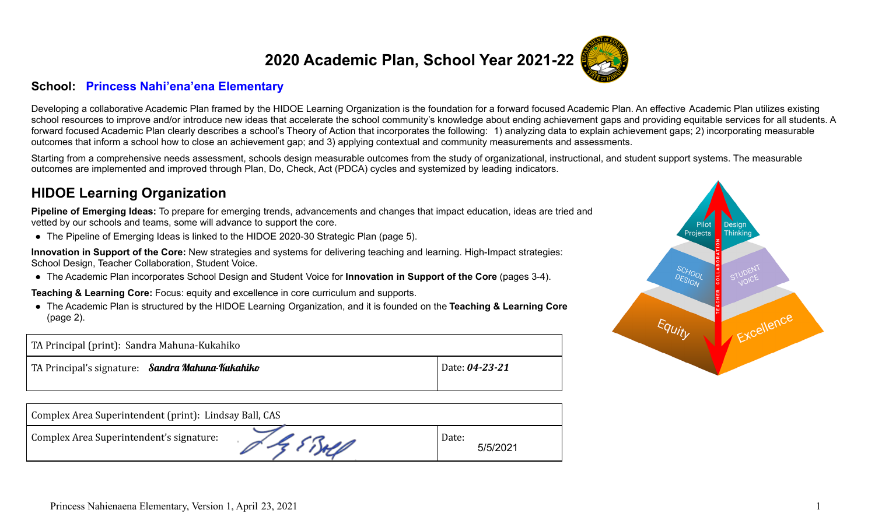# **2020 Academic Plan, School Year 2021-22**



Developing a collaborative Academic Plan framed by the HIDOE Learning Organization is the foundation for a forward focused Academic Plan. An effective Academic Plan utilizes existing school resources to improve and/or introduce new ideas that accelerate the school community's knowledge about ending achievement gaps and providing equitable services for all students. A forward focused Academic Plan clearly describes a school's Theory of Action that incorporates the following: 1) analyzing data to explain achievement gaps; 2) incorporating measurable outcomes that inform a school how to close an achievement gap; and 3) applying contextual and community measurements and assessments.

Starting from a comprehensive needs assessment, schools design measurable outcomes from the study of organizational, instructional, and student support systems. The measurable outcomes are implemented and improved through Plan, Do, Check, Act (PDCA) cycles and systemized by leading indicators.

### **HIDOE Learning Organization**

**Pipeline of Emerging Ideas:** To prepare for emerging trends, advancements and changes that impact education, ideas are tried and vetted by our schools and teams, some will advance to support the core.

**●** The Pipeline of Emerging Ideas is linked to the HIDOE 2020-30 Strategic Plan (page 5).

**Innovation in Support of the Core:** New strategies and systems for delivering teaching and learning. High-Impact strategies: School Design, Teacher Collaboration, Student Voice.

● The Academic Plan incorporates School Design and Student Voice for **Innovation in Support of the Core** (pages 3-4).

**Teaching & Learning Core:** Focus: equity and excellence in core curriculum and supports.

● The Academic Plan is structured by the HIDOE Learning Organization, and it is founded on the **Teaching & Learning Core** (page 2).

| TA Principal (print): Sandra Mahuna-Kukahiko     |                |  |  |  |
|--------------------------------------------------|----------------|--|--|--|
| TA Principal's signature: Sandra Mahuna-Kukahiko | Date: 04-23-21 |  |  |  |
|                                                  |                |  |  |  |

| Complex Area Superintendent (print): Lindsay Ball, CAS |            |                   |
|--------------------------------------------------------|------------|-------------------|
| Complex Area Superintendent's signature:               | of & EBALD | Date:<br>5/5/2021 |

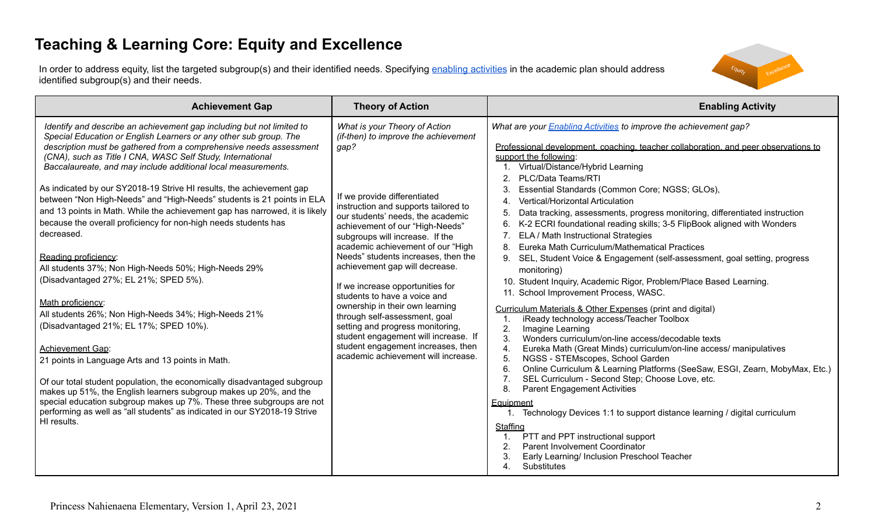# **Teaching & Learning Core: Equity and Excellence**

In order to address equity, list the targeted subgroup(s) and their identified needs. Specifying enabling [activities](https://docs.google.com/document/d/1_CBCCCUPTqpr2sEeh1fQ9EUVupyhBBZlYUdzcm9zCw0/edit) in the academic plan should address identified subgroup(s) and their needs.



| <b>Achievement Gap</b>                                                                                                                                                                                                                                                                                                                                                                                                                                                                                                                                                                                                                                                                                                                                                                                                                                                                                                                                                                                                                                                                                                                                                                                                                                                                                                  | <b>Theory of Action</b>                                                                                                                                                                                                                                                                                                                                                                                                                                                                                                                                                                                                                                                         | <b>Enabling Activity</b>                                                                                                                                                                                                                                                                                                                                                                                                                                                                                                                                                                                                                                                                                                                                                                                                                                                                                                                                                                                                                                                                                                                                                                                                                                                                                                                                                                                                                                                                                                                                                                                                                    |
|-------------------------------------------------------------------------------------------------------------------------------------------------------------------------------------------------------------------------------------------------------------------------------------------------------------------------------------------------------------------------------------------------------------------------------------------------------------------------------------------------------------------------------------------------------------------------------------------------------------------------------------------------------------------------------------------------------------------------------------------------------------------------------------------------------------------------------------------------------------------------------------------------------------------------------------------------------------------------------------------------------------------------------------------------------------------------------------------------------------------------------------------------------------------------------------------------------------------------------------------------------------------------------------------------------------------------|---------------------------------------------------------------------------------------------------------------------------------------------------------------------------------------------------------------------------------------------------------------------------------------------------------------------------------------------------------------------------------------------------------------------------------------------------------------------------------------------------------------------------------------------------------------------------------------------------------------------------------------------------------------------------------|---------------------------------------------------------------------------------------------------------------------------------------------------------------------------------------------------------------------------------------------------------------------------------------------------------------------------------------------------------------------------------------------------------------------------------------------------------------------------------------------------------------------------------------------------------------------------------------------------------------------------------------------------------------------------------------------------------------------------------------------------------------------------------------------------------------------------------------------------------------------------------------------------------------------------------------------------------------------------------------------------------------------------------------------------------------------------------------------------------------------------------------------------------------------------------------------------------------------------------------------------------------------------------------------------------------------------------------------------------------------------------------------------------------------------------------------------------------------------------------------------------------------------------------------------------------------------------------------------------------------------------------------|
| Identify and describe an achievement gap including but not limited to<br>Special Education or English Learners or any other sub group. The<br>description must be gathered from a comprehensive needs assessment<br>(CNA), such as Title I CNA, WASC Self Study, International<br>Baccalaureate, and may include additional local measurements.<br>As indicated by our SY2018-19 Strive HI results, the achievement gap<br>between "Non High-Needs" and "High-Needs" students is 21 points in ELA<br>and 13 points in Math. While the achievement gap has narrowed, it is likely<br>because the overall proficiency for non-high needs students has<br>decreased.<br>Reading proficiency:<br>All students 37%; Non High-Needs 50%; High-Needs 29%<br>(Disadvantaged 27%; EL 21%; SPED 5%).<br>Math proficiency:<br>All students 26%; Non High-Needs 34%; High-Needs 21%<br>(Disadvantaged 21%; EL 17%; SPED 10%).<br><b>Achievement Gap:</b><br>21 points in Language Arts and 13 points in Math.<br>Of our total student population, the economically disadvantaged subgroup<br>makes up 51%, the English learners subgroup makes up 20%, and the<br>special education subgroup makes up 7%. These three subgroups are not<br>performing as well as "all students" as indicated in our SY2018-19 Strive<br>HI results. | What is your Theory of Action<br>(if-then) to improve the achievement<br>gap?<br>If we provide differentiated<br>instruction and supports tailored to<br>our students' needs, the academic<br>achievement of our "High-Needs"<br>subgroups will increase. If the<br>academic achievement of our "High<br>Needs" students increases, then the<br>achievement gap will decrease.<br>If we increase opportunities for<br>students to have a voice and<br>ownership in their own learning<br>through self-assessment, goal<br>setting and progress monitoring,<br>student engagement will increase. If<br>student engagement increases, then<br>academic achievement will increase. | What are your <b>Enabling Activities</b> to improve the achievement gap?<br>Professional development, coaching, teacher collaboration, and peer observations to<br>support the following:<br>1. Virtual/Distance/Hybrid Learning<br>2. PLC/Data Teams/RTI<br>Essential Standards (Common Core; NGSS; GLOs),<br>Vertical/Horizontal Articulation<br>Data tracking, assessments, progress monitoring, differentiated instruction<br>K-2 ECRI foundational reading skills; 3-5 FlipBook aligned with Wonders<br>6.<br>ELA / Math Instructional Strategies<br>Eureka Math Curriculum/Mathematical Practices<br>8.<br>SEL, Student Voice & Engagement (self-assessment, goal setting, progress<br>9.<br>monitoring)<br>10. Student Inquiry, Academic Rigor, Problem/Place Based Learning.<br>11. School Improvement Process, WASC.<br>Curriculum Materials & Other Expenses (print and digital)<br>iReady technology access/Teacher Toolbox<br>2.<br>Imagine Learning<br>3.<br>Wonders curriculum/on-line access/decodable texts<br>4.<br>Eureka Math (Great Minds) curriculum/on-line access/ manipulatives<br>5.<br>NGSS - STEMscopes, School Garden<br>Online Curriculum & Learning Platforms (SeeSaw, ESGI, Zearn, MobyMax, Etc.)<br>6.<br>7 <sub>1</sub><br>SEL Curriculum - Second Step; Choose Love, etc.<br>8.<br><b>Parent Engagement Activities</b><br>Equipment<br>1. Technology Devices 1:1 to support distance learning / digital curriculum<br>Staffing<br>PTT and PPT instructional support<br>1.<br>Parent Involvement Coordinator<br>2.<br>3.<br>Early Learning/ Inclusion Preschool Teacher<br>$\overline{4}$ .<br>Substitutes |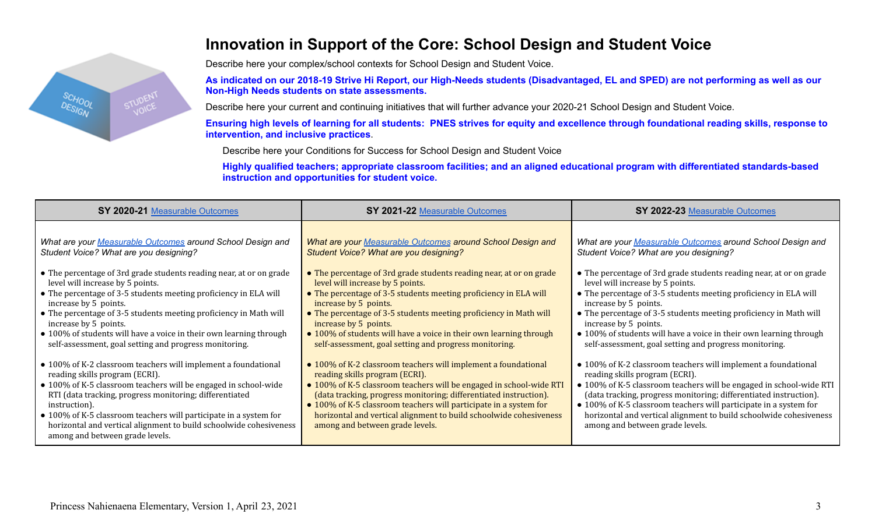

## **Innovation in Support of the Core: School Design and Student Voice**

Describe here your complex/school contexts for School Design and Student Voice.

As indicated on our 2018-19 Strive Hi Report, our High-Needs students (Disadvantaged, EL and SPED) are not performing as well as our **Non-High Needs students on state assessments.**

Describe here your current and continuing initiatives that will further advance your 2020-21 School Design and Student Voice.

Ensuring high levels of learning for all students: PNES strives for equity and excellence through foundational reading skills, response to **intervention, and inclusive practices**.

Describe here your Conditions for Success for School Design and Student Voice

Highly qualified teachers; appropriate classroom facilities; and an aligned educational program with differentiated standards-based **instruction and opportunities for student voice.**

| SY 2020-21 Measurable Outcomes                                                                                                                                             | SY 2021-22 Measurable Outcomes                                                                        | SY 2022-23 Measurable Outcomes                                                                        |
|----------------------------------------------------------------------------------------------------------------------------------------------------------------------------|-------------------------------------------------------------------------------------------------------|-------------------------------------------------------------------------------------------------------|
| What are your Measurable Outcomes around School Design and                                                                                                                 | What are your Measurable Outcomes around School Design and                                            | What are your Measurable Outcomes around School Design and                                            |
| Student Voice? What are you designing?                                                                                                                                     | Student Voice? What are you designing?                                                                | Student Voice? What are you designing?                                                                |
| • The percentage of 3rd grade students reading near, at or on grade                                                                                                        | • The percentage of 3rd grade students reading near, at or on grade                                   | • The percentage of 3rd grade students reading near, at or on grade                                   |
| level will increase by 5 points.                                                                                                                                           | level will increase by 5 points.                                                                      | level will increase by 5 points.                                                                      |
| • The percentage of 3-5 students meeting proficiency in ELA will                                                                                                           | • The percentage of 3-5 students meeting proficiency in ELA will                                      | • The percentage of 3-5 students meeting proficiency in ELA will                                      |
| increase by 5 points.                                                                                                                                                      | increase by 5 points.                                                                                 | increase by 5 points.                                                                                 |
| • The percentage of 3-5 students meeting proficiency in Math will                                                                                                          | • The percentage of 3-5 students meeting proficiency in Math will                                     | • The percentage of 3-5 students meeting proficiency in Math will                                     |
| increase by 5 points.                                                                                                                                                      | increase by 5 points.                                                                                 | increase by 5 points.                                                                                 |
| • 100% of students will have a voice in their own learning through                                                                                                         | • 100% of students will have a voice in their own learning through                                    | • 100% of students will have a voice in their own learning through                                    |
| self-assessment, goal setting and progress monitoring.                                                                                                                     | self-assessment, goal setting and progress monitoring.                                                | self-assessment, goal setting and progress monitoring.                                                |
| • 100% of K-2 classroom teachers will implement a foundational                                                                                                             | • 100% of K-2 classroom teachers will implement a foundational                                        | • 100% of K-2 classroom teachers will implement a foundational                                        |
| reading skills program (ECRI).                                                                                                                                             | reading skills program (ECRI).                                                                        | reading skills program (ECRI).                                                                        |
| • 100% of K-5 classroom teachers will be engaged in school-wide                                                                                                            | • 100% of K-5 classroom teachers will be engaged in school-wide RTI                                   | · 100% of K-5 classroom teachers will be engaged in school-wide RTI                                   |
| RTI (data tracking, progress monitoring; differentiated                                                                                                                    | (data tracking, progress monitoring; differentiated instruction).                                     | (data tracking, progress monitoring; differentiated instruction).                                     |
| instruction).                                                                                                                                                              | • 100% of K-5 classroom teachers will participate in a system for                                     | • 100% of K-5 classroom teachers will participate in a system for                                     |
| • 100% of K-5 classroom teachers will participate in a system for<br>horizontal and vertical alignment to build schoolwide cohesiveness<br>among and between grade levels. | horizontal and vertical alignment to build schoolwide cohesiveness<br>among and between grade levels. | horizontal and vertical alignment to build schoolwide cohesiveness<br>among and between grade levels. |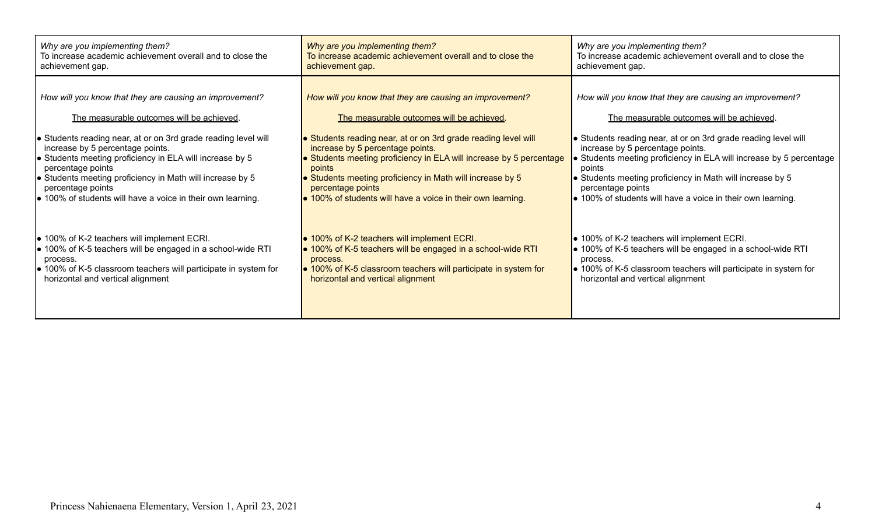| Why are you implementing them?                                          | Why are you implementing them?                                      | Why are you implementing them?                                          |  |  |
|-------------------------------------------------------------------------|---------------------------------------------------------------------|-------------------------------------------------------------------------|--|--|
| To increase academic achievement overall and to close the               | To increase academic achievement overall and to close the           | To increase academic achievement overall and to close the               |  |  |
| achievement gap.                                                        | achievement gap.                                                    | achievement gap.                                                        |  |  |
| How will you know that they are causing an improvement?                 | How will you know that they are causing an improvement?             | How will you know that they are causing an improvement?                 |  |  |
| The measurable outcomes will be achieved.                               | The measurable outcomes will be achieved.                           | The measurable outcomes will be achieved.                               |  |  |
| • Students reading near, at or on 3rd grade reading level will          | • Students reading near, at or on 3rd grade reading level will      | Students reading near, at or on 3rd grade reading level will            |  |  |
| increase by 5 percentage points.                                        | increase by 5 percentage points.                                    | increase by 5 percentage points.                                        |  |  |
| ● Students meeting proficiency in ELA will increase by 5                | • Students meeting proficiency in ELA will increase by 5 percentage | Students meeting proficiency in ELA will increase by 5 percentage       |  |  |
| percentage points                                                       | points                                                              | points                                                                  |  |  |
| Students meeting proficiency in Math will increase by 5                 | • Students meeting proficiency in Math will increase by 5           | • Students meeting proficiency in Math will increase by 5               |  |  |
| percentage points                                                       | percentage points                                                   | percentage points                                                       |  |  |
| $\bullet$ 100% of students will have a voice in their own learning.     | • 100% of students will have a voice in their own learning.         | • 100% of students will have a voice in their own learning.             |  |  |
| ● 100% of K-2 teachers will implement ECRI.                             | • 100% of K-2 teachers will implement ECRI.                         | $\bullet$ 100% of K-2 teachers will implement ECRI.                     |  |  |
| ● 100% of K-5 teachers will be engaged in a school-wide RTI             | • 100% of K-5 teachers will be engaged in a school-wide RTI         | ● 100% of K-5 teachers will be engaged in a school-wide RTI             |  |  |
| process.                                                                | process.                                                            | process.                                                                |  |  |
| $\bullet$ 100% of K-5 classroom teachers will participate in system for | • 100% of K-5 classroom teachers will participate in system for     | $\bullet$ 100% of K-5 classroom teachers will participate in system for |  |  |
| horizontal and vertical alignment                                       | horizontal and vertical alignment                                   | horizontal and vertical alignment                                       |  |  |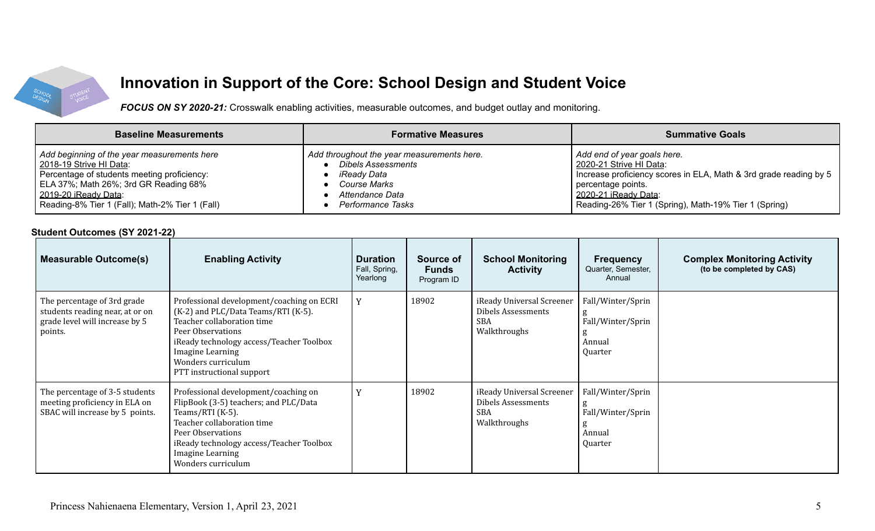

# **Innovation in Support of the Core: School Design and Student Voice**

*FOCUS ON SY 2020-21:* Crosswalk enabling activities, measurable outcomes, and budget outlay and monitoring.

| <b>Baseline Measurements</b>                    | <b>Formative Measures</b>                  | <b>Summative Goals</b>                                            |
|-------------------------------------------------|--------------------------------------------|-------------------------------------------------------------------|
| Add beginning of the year measurements here     | Add throughout the year measurements here. | Add end of year goals here.                                       |
| 2018-19 Strive HI Data:                         | <b>Dibels Assessments</b>                  | 2020-21 Strive HI Data:                                           |
| Percentage of students meeting proficiency:     | iReady Data                                | Increase proficiency scores in ELA, Math & 3rd grade reading by 5 |
| ELA 37%; Math 26%; 3rd GR Reading 68%           | Course Marks                               | percentage points.                                                |
| 2019-20 iReady Data:                            | Attendance Data                            | 2020-21 iReady Data:                                              |
| Reading-8% Tier 1 (Fall); Math-2% Tier 1 (Fall) | Performance Tasks                          | Reading-26% Tier 1 (Spring), Math-19% Tier 1 (Spring)             |

#### **Student Outcomes (SY 2021-22)**

| <b>Measurable Outcome(s)</b>                                                                                | <b>Enabling Activity</b>                                                                                                                                                                                                                               | <b>Duration</b><br>Fall, Spring,<br>Yearlong | Source of<br><b>Funds</b><br>Program ID | <b>School Monitoring</b><br><b>Activity</b>                                   | <b>Frequency</b><br>Quarter, Semester,<br>Annual                 | <b>Complex Monitoring Activity</b><br>(to be completed by CAS) |
|-------------------------------------------------------------------------------------------------------------|--------------------------------------------------------------------------------------------------------------------------------------------------------------------------------------------------------------------------------------------------------|----------------------------------------------|-----------------------------------------|-------------------------------------------------------------------------------|------------------------------------------------------------------|----------------------------------------------------------------|
| The percentage of 3rd grade<br>students reading near, at or on<br>grade level will increase by 5<br>points. | Professional development/coaching on ECRI<br>(K-2) and PLC/Data Teams/RTI (K-5).<br>Teacher collaboration time<br>Peer Observations<br>iReady technology access/Teacher Toolbox<br>Imagine Learning<br>Wonders curriculum<br>PTT instructional support |                                              | 18902                                   | iReady Universal Screener<br>Dibels Assessments<br><b>SBA</b><br>Walkthroughs | Fall/Winter/Sprin<br>5<br>Fall/Winter/Sprin<br>Annual<br>Quarter |                                                                |
| The percentage of 3-5 students<br>meeting proficiency in ELA on<br>SBAC will increase by 5 points.          | Professional development/coaching on<br>FlipBook (3-5) teachers; and PLC/Data<br>Teams/RTI (K-5).<br>Teacher collaboration time<br>Peer Observations<br>iReady technology access/Teacher Toolbox<br>Imagine Learning<br>Wonders curriculum             |                                              | 18902                                   | iReady Universal Screener<br>Dibels Assessments<br><b>SBA</b><br>Walkthroughs | Fall/Winter/Sprin<br>Fall/Winter/Sprin<br>Annual<br>Quarter      |                                                                |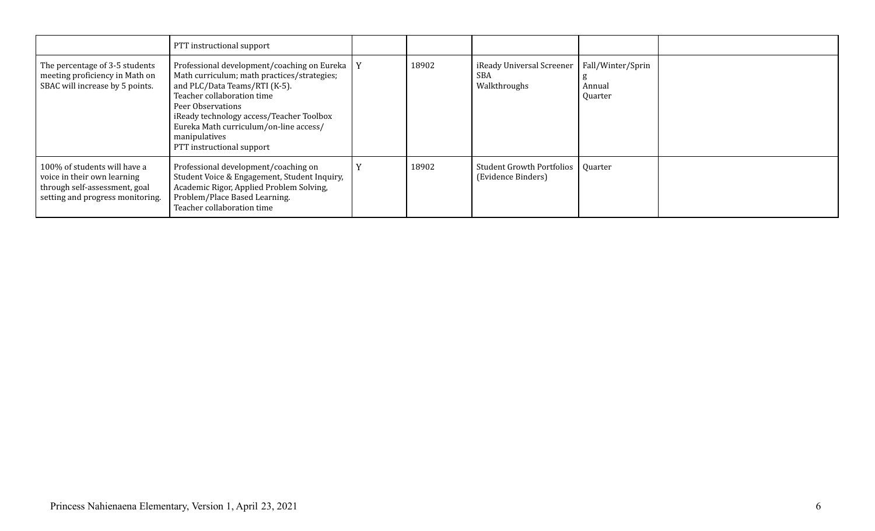|                                                                                                                                  | PTT instructional support                                                                                                                                                                                                                                                                                              |       |                                                           |                                        |  |
|----------------------------------------------------------------------------------------------------------------------------------|------------------------------------------------------------------------------------------------------------------------------------------------------------------------------------------------------------------------------------------------------------------------------------------------------------------------|-------|-----------------------------------------------------------|----------------------------------------|--|
| The percentage of 3-5 students<br>meeting proficiency in Math on<br>SBAC will increase by 5 points.                              | Professional development/coaching on Eureka   Y<br>Math curriculum; math practices/strategies;<br>and PLC/Data Teams/RTI (K-5).<br>Teacher collaboration time<br>Peer Observations<br>iReady technology access/Teacher Toolbox<br>Eureka Math curriculum/on-line access/<br>manipulatives<br>PTT instructional support | 18902 | iReady Universal Screener<br><b>SBA</b><br>Walkthroughs   | Fall/Winter/Sprin<br>Annual<br>Quarter |  |
| 100% of students will have a<br>voice in their own learning<br>through self-assessment, goal<br>setting and progress monitoring. | Professional development/coaching on<br>Student Voice & Engagement, Student Inquiry,<br>Academic Rigor, Applied Problem Solving,<br>Problem/Place Based Learning.<br>Teacher collaboration time                                                                                                                        | 18902 | Student Growth Portfolios   Quarter<br>(Evidence Binders) |                                        |  |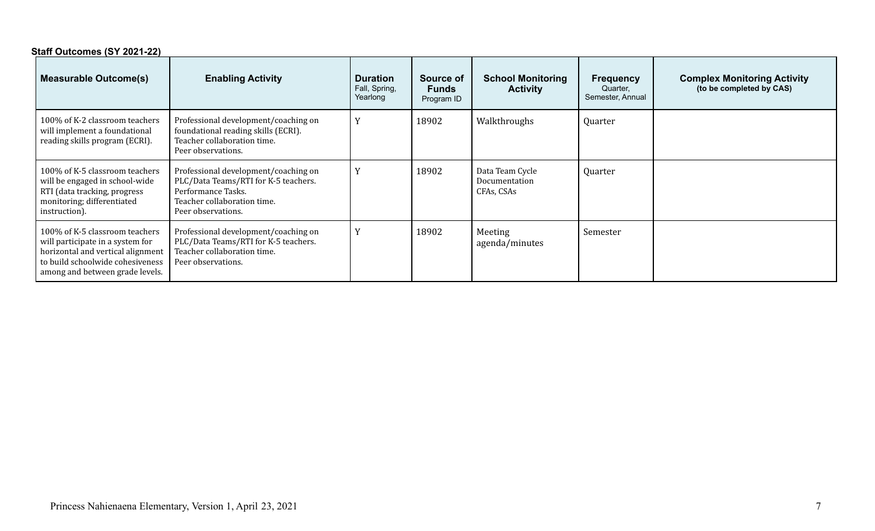| Staff Outcomes (SY 2021-22)                                                                                                                                                    |                                                                                                                                                         |                                              |                                         |                                                |                                                  |                                                                |
|--------------------------------------------------------------------------------------------------------------------------------------------------------------------------------|---------------------------------------------------------------------------------------------------------------------------------------------------------|----------------------------------------------|-----------------------------------------|------------------------------------------------|--------------------------------------------------|----------------------------------------------------------------|
| <b>Measurable Outcome(s)</b>                                                                                                                                                   | <b>Enabling Activity</b>                                                                                                                                | <b>Duration</b><br>Fall, Spring,<br>Yearlong | Source of<br><b>Funds</b><br>Program ID | <b>School Monitoring</b><br><b>Activity</b>    | <b>Frequency</b><br>Quarter,<br>Semester, Annual | <b>Complex Monitoring Activity</b><br>(to be completed by CAS) |
| 100% of K-2 classroom teachers<br>will implement a foundational<br>reading skills program (ECRI).                                                                              | Professional development/coaching on<br>foundational reading skills (ECRI).<br>Teacher collaboration time.<br>Peer observations.                        |                                              | 18902                                   | Walkthroughs                                   | Quarter                                          |                                                                |
| 100% of K-5 classroom teachers<br>will be engaged in school-wide<br>RTI (data tracking, progress<br>monitoring; differentiated<br>instruction).                                | Professional development/coaching on<br>PLC/Data Teams/RTI for K-5 teachers.<br>Performance Tasks.<br>Teacher collaboration time.<br>Peer observations. |                                              | 18902                                   | Data Team Cycle<br>Documentation<br>CFAs, CSAs | Quarter                                          |                                                                |
| 100% of K-5 classroom teachers<br>will participate in a system for<br>horizontal and vertical alignment<br>to build schoolwide cohesiveness<br>among and between grade levels. | Professional development/coaching on<br>PLC/Data Teams/RTI for K-5 teachers.<br>Teacher collaboration time.<br>Peer observations.                       |                                              | 18902                                   | Meeting<br>agenda/minutes                      | Semester                                         |                                                                |